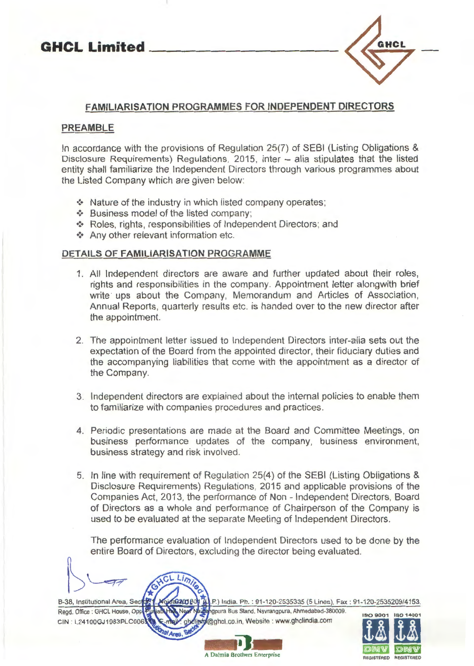

## **FAMILIARISATION PROGRAMMES FOR INDEPENDENT DIRECTORS**

## **PREAMBLE**

In accordance with the provisions of Regulation 25(7) of SEBI (Listing Obligations & Disclosure Requirements) Regulations, 2015, inter - alia stipulates that the listed entity shall familiarize the Independent Directors through various programmes about the Listed Company which are given below:

- Nature of the industry in which listed company operates;
- Business model of the listed company;
- •:• Roles, rights, responsibilities of Independent Directors; and
- Any other relevant information etc.

## **DETAILS OF FAMILIARISATION PROGRAMME**

- 1. All Independent directors are aware and further updated about their roles, rights and responsibilities in the company. Appointment letter alongwith brief write ups about the Company, Memorandum and Articles of Association, Annual Reports, quarterly results etc. is handed over to the new director after the appointment.
- 2. The appointment letter issued to Independent Directors inter-alia sets out the expectation of the Board from the appointed director, their fiduciary duties and the accompanying liabilities that come with the appointment as a director of the Company.
- 3. Independent directors are explained about the internal policies to enable them to familiarize with companies procedures and practices.
- 4. Periodic presentations are made at the Board and Committee Meetings, on business performance updates of the company, business environment, business strategy and risk involved.
- 5. In line with requirement of Regulation 25(4) of the SEBI (Listing Obligations & Disclosure Requirements) Regulations, 2015 and applicable provisions of the Companies Act, 2013, the performance of Non - Independent Directors, Board of Directors as a whole and performance of Chairperson of the Company is used to be evaluated at the separate Meeting of Independent Directors.

The performance evaluation of Independent Directors used to be done by the entire Board of Directors, excluding the director being evaluated .

ngpura Bus Stand, Navrangpura, Ahmedabad-380009





**A**<br> **A** Dalmia Brothers Enterprise<br> **A** Dalmia Brothers Enterprise A Dalmia Brothers Enterprise